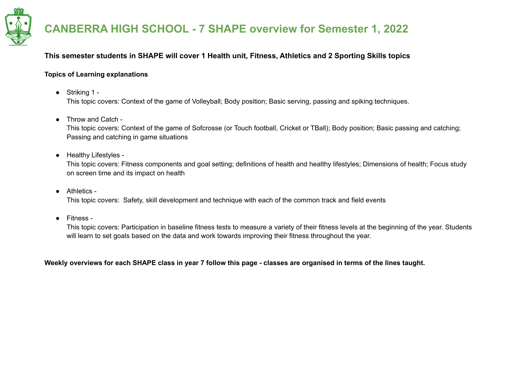

#### **This semester students in SHAPE will cover 1 Health unit, Fitness, Athletics and 2 Sporting Skills topics**

#### **Topics of Learning explanations**

● Striking 1 -

This topic covers: Context of the game of Volleyball; Body position; Basic serving, passing and spiking techniques.

● Throw and Catch -

This topic covers: Context of the game of Sofcrosse (or Touch football, Cricket or TBall); Body position; Basic passing and catching; Passing and catching in game situations

● Healthy Lifestyles -

This topic covers: Fitness components and goal setting; definitions of health and healthy lifestyles; Dimensions of health; Focus study on screen time and its impact on health

● Athletics -

This topic covers: Safety, skill development and technique with each of the common track and field events

● Fitness -

This topic covers: Participation in baseline fitness tests to measure a variety of their fitness levels at the beginning of the year. Students will learn to set goals based on the data and work towards improving their fitness throughout the year.

Weekly overviews for each SHAPE class in year 7 follow this page - classes are organised in terms of the lines taught.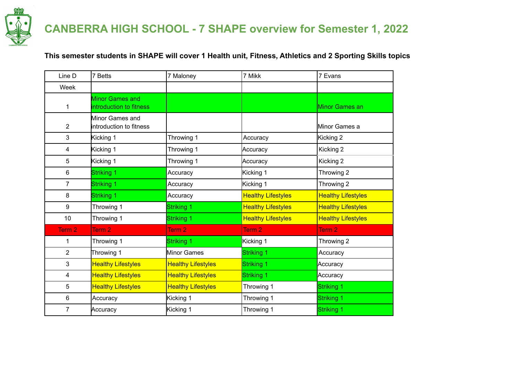

### **This semester students in SHAPE will cover 1 Health unit, Fitness, Athletics and 2 Sporting Skills topics**

| Line D            | 7 Betts                                           | 7 Maloney                 | 7 Mikk                    | 7 Evans                   |
|-------------------|---------------------------------------------------|---------------------------|---------------------------|---------------------------|
| Week              |                                                   |                           |                           |                           |
| $\mathbf 1$       | <b>Minor Games and</b><br>introduction to fitness |                           |                           | Minor Games an            |
| $\overline{2}$    | Minor Games and<br>introduction to fitness        |                           |                           | Minor Games a             |
| 3                 | Kicking 1                                         | Throwing 1                | Accuracy                  | Kicking 2                 |
| 4                 | Kicking 1                                         | Throwing 1                | Accuracy                  | Kicking 2                 |
| 5                 | Kicking 1                                         | Throwing 1                | Accuracy                  | Kicking 2                 |
| 6                 | Striking 1                                        | Accuracy                  | Kicking 1                 | Throwing 2                |
| $\overline{7}$    | Striking 1                                        | Accuracy                  | Kicking 1                 | Throwing 2                |
| 8                 | Striking 1                                        | Accuracy                  | <b>Healthy Lifestyles</b> | <b>Healthy Lifestyles</b> |
| 9                 | Throwing 1                                        | Striking 1                | <b>Healthy Lifestyles</b> | <b>Healthy Lifestyles</b> |
| 10                | Throwing 1                                        | Striking 1                | <b>Healthy Lifestyles</b> | <b>Healthy Lifestyles</b> |
| Term <sub>2</sub> | Term <sub>2</sub>                                 | Term <sub>2</sub>         | Term <sub>2</sub>         | Term 2                    |
| 1                 | Throwing 1                                        | Striking 1                | Kicking 1                 | Throwing 2                |
| $\overline{2}$    | Throwing 1                                        | Minor Games               | Striking 1                | Accuracy                  |
| 3                 | <b>Healthy Lifestyles</b>                         | <b>Healthy Lifestyles</b> | Striking 1                | Accuracy                  |
| 4                 | <b>Healthy Lifestyles</b>                         | <b>Healthy Lifestyles</b> | Striking 1                | Accuracy                  |
| 5                 | <b>Healthy Lifestyles</b>                         | <b>Healthy Lifestyles</b> | Throwing 1                | Striking 1                |
| 6                 | Accuracy                                          | Kicking 1                 | Throwing 1                | Striking 1                |
| $\overline{7}$    | Accuracy                                          | Kicking 1                 | Throwing 1                | Striking 1                |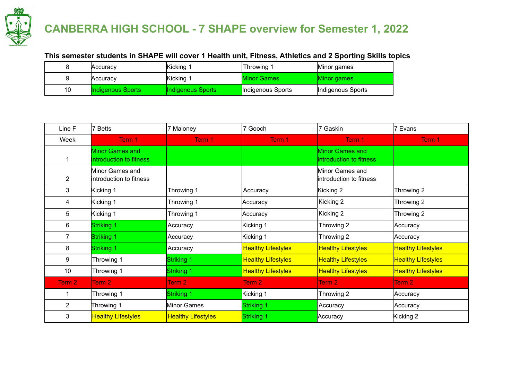

### **This semester students in SHAPE will cover 1 Health unit, Fitness, Athletics and 2 Sporting Skills topics**

|    | Accuracy          | Kicking 1         | Throwing 1         | Minor games       |
|----|-------------------|-------------------|--------------------|-------------------|
|    | Accuracy          | Kicking           | <b>Minor Games</b> | Minor games       |
| 10 | Indigenous Sports | Indigenous Sports | Indigenous Sports  | Indigenous Sports |

| Line F         | 7 Betts                                           | 7 Maloney                 | 7 Gooch                   | 7 Gaskin                                          | 7 Evans                   |
|----------------|---------------------------------------------------|---------------------------|---------------------------|---------------------------------------------------|---------------------------|
| Week           | Term 1                                            | Term 1                    | Term 1                    | Term 1                                            | Term 1                    |
|                | <b>Minor Games and</b><br>introduction to fitness |                           |                           | <b>Minor Games and</b><br>introduction to fitness |                           |
| $\overline{2}$ | Minor Games and<br>introduction to fitness        |                           |                           | Minor Games and<br>introduction to fitness        |                           |
| 3              | Kicking 1                                         | Throwing 1                | Accuracy                  | Kicking 2                                         | Throwing 2                |
| 4              | Kicking 1                                         | Throwing 1                | Accuracy                  | Kicking 2                                         | Throwing 2                |
| 5              | Kicking 1                                         | Throwing 1                | Accuracy                  | Kicking 2                                         | Throwing 2                |
| 6              | Striking 1                                        | Accuracy                  | Kicking 1                 | Throwing 2                                        | Accuracy                  |
| 7              | <b>Striking 1</b>                                 | Accuracy                  | Kicking 1                 | Throwing 2                                        | Accuracy                  |
| 8              | Striking 1                                        | Accuracy                  | <b>Healthy Lifestyles</b> | <b>Healthy Lifestyles</b>                         | <b>Healthy Lifestyles</b> |
| 9              | Throwing 1                                        | Striking 1                | <b>Healthy Lifestyles</b> | <b>Healthy Lifestyles</b>                         | <b>Healthy Lifestyles</b> |
| 10             | Throwing 1                                        | Striking 1                | <b>Healthy Lifestyles</b> | <b>Healthy Lifestyles</b>                         | <b>Healthy Lifestyles</b> |
| Term 2         | Term 2                                            | Term 2                    | Term 2                    | Term 2                                            | Term 2                    |
|                | Throwing 1                                        | Striking 1                | Kicking 1                 | Throwing 2                                        | Accuracy                  |
| $\overline{2}$ | Throwing 1                                        | Minor Games               | Striking 1                | Accuracy                                          | Accuracy                  |
| 3              | <b>Healthy Lifestyles</b>                         | <b>Healthy Lifestyles</b> | Striking 1                | Accuracy                                          | Kicking 2                 |